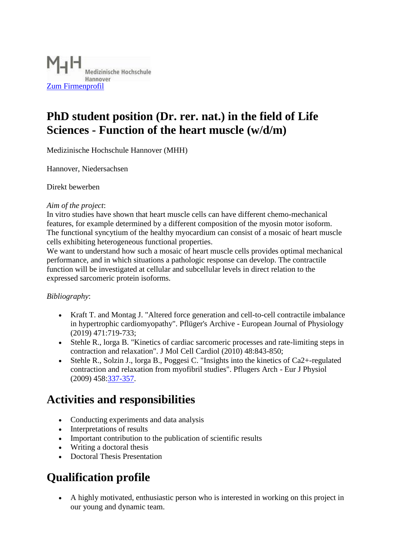

## **PhD student position (Dr. rer. nat.) in the field of Life Sciences - Function of the heart muscle (w/d/m)**

Medizinische Hochschule Hannover (MHH)

Hannover, Niedersachsen

Direkt bewerben

#### *Aim of the project*:

In vitro studies have shown that heart muscle cells can have different chemo-mechanical features, for example determined by a different composition of the myosin motor isoform. The functional syncytium of the healthy myocardium can consist of a mosaic of heart muscle cells exhibiting heterogeneous functional properties.

We want to understand how such a mosaic of heart muscle cells provides optimal mechanical performance, and in which situations a pathologic response can develop. The contractile function will be investigated at cellular and subcellular levels in direct relation to the expressed sarcomeric protein isoforms.

### *Bibliography*:

- Kraft T. and Montag J. "Altered force generation and cell-to-cell contractile imbalance in hypertrophic cardiomyopathy". Pflüger's Archive - European Journal of Physiology (2019) 471:719-733;
- Stehle R., lorga B. "Kinetics of cardiac sarcomeric processes and rate-limiting steps in contraction and relaxation". J Mol Cell Cardiol (2010) 48:843-850;
- Stehle R., Solzin J., lorga B., Poggesi C. "Insights into the kinetics of Ca2+-regulated contraction and relaxation from myofibril studies". Pflugers Arch - Eur J Physiol (2009) 458[:337-357.](tel:337357)

## **Activities and responsibilities**

- Conducting experiments and data analysis
- Interpretations of results
- Important contribution to the publication of scientific results
- Writing a doctoral thesis
- Doctoral Thesis Presentation

# **Qualification profile**

 A highly motivated, enthusiastic person who is interested in working on this project in our young and dynamic team.